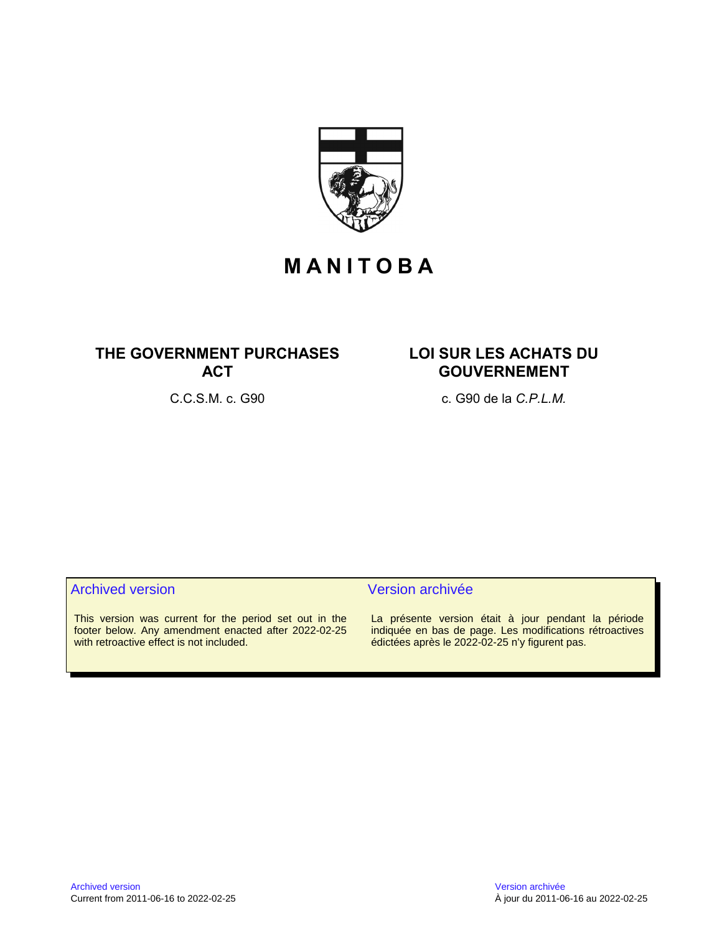

# **M A N I T O B A**

# **THE GOVERNMENT PURCHASES ACT**

# **LOI SUR LES ACHATS DU GOUVERNEMENT**

C.C.S.M. c. G90 c. G90 de la *C.P.L.M.*

# Archived version and version archivée

This version was current for the period set out in the footer below. Any amendment enacted after 2022-02-25 with retroactive effect is not included.

La présente version était à jour pendant la période indiquée en bas de page. Les modifications rétroactives édictées après le 2022-02-25 n'y figurent pas.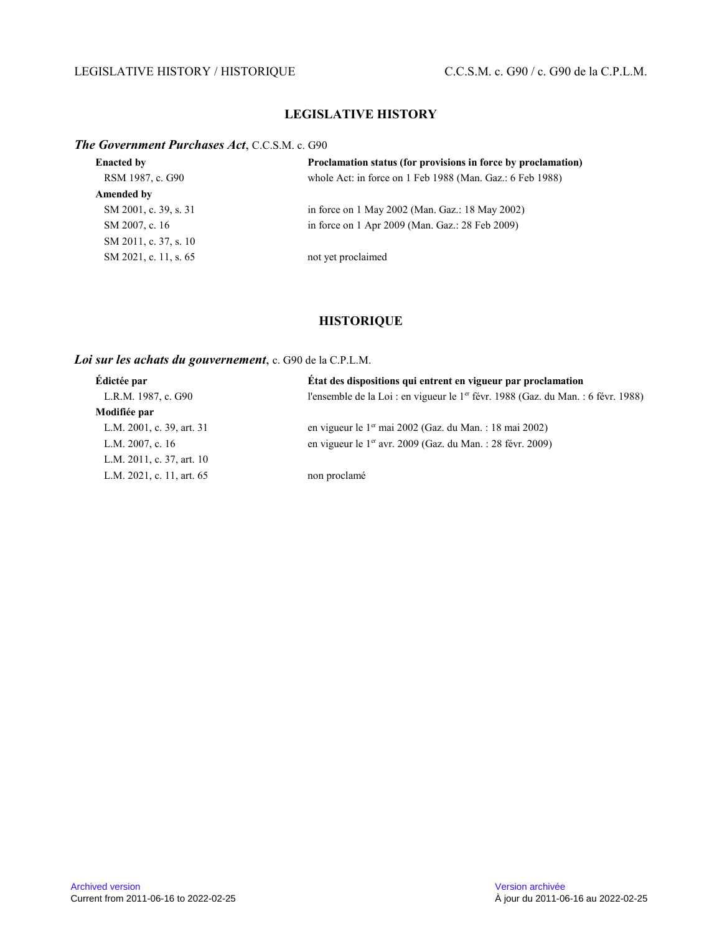# LEGISLATIVE HISTORY / HISTORIQUE C.C.S.M. c. G90 / c. G90 de la C.P.L.M.

# **LEGISLATIVE HISTORY**

### *The Government Purchases Act*, C.C.S.M. c. G90

| <b>Enacted by</b>     | Proclamation status (for provisions in force by proclamation) |
|-----------------------|---------------------------------------------------------------|
| RSM 1987, c. G90      | whole Act: in force on 1 Feb 1988 (Man. Gaz.: 6 Feb 1988)     |
| Amended by            |                                                               |
| SM 2001, c. 39, s. 31 | in force on 1 May 2002 (Man. Gaz.: 18 May 2002)               |
| SM 2007, c. 16        | in force on 1 Apr 2009 (Man. Gaz.: 28 Feb 2009)               |
| SM 2011, c. 37, s. 10 |                                                               |
| SM 2021, c. 11, s. 65 | not yet proclaimed                                            |

# **HISTORIQUE**

# *Loi sur les achats du gouvernement*, c. G90 de la C.P.L.M.

| Édictée par               | État des dispositions qui entrent en vigueur par proclamation                                 |
|---------------------------|-----------------------------------------------------------------------------------------------|
| L.R.M. 1987, c. G90       | l'ensemble de la Loi : en vigueur le 1 <sup>er</sup> févr. 1988 (Gaz. du Man. : 6 févr. 1988) |
| Modifiée par              |                                                                                               |
| L.M. 2001, c. 39, art. 31 | en vigueur le 1 <sup>er</sup> mai 2002 (Gaz. du Man. : 18 mai 2002)                           |
| L.M. 2007, c. 16          | en vigueur le 1 <sup>er</sup> avr. 2009 (Gaz. du Man. : 28 févr. 2009)                        |
| L.M. 2011, c. 37, art. 10 |                                                                                               |
| L.M. 2021, c. 11, art. 65 | non proclamé                                                                                  |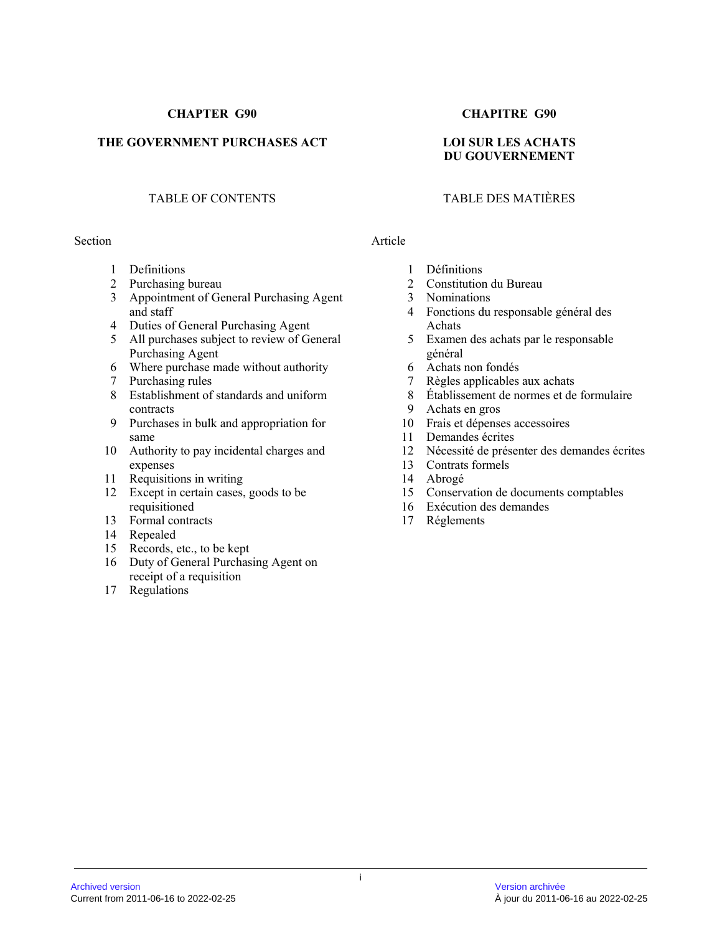# **CHAPTER G90 CHAPITRE G90**

# THE GOVERNMENT PURCHASES ACT LOI SUR LES ACHATS

# TABLE OF CONTENTS TABLE DES MATIÈRES

#### Section Article

- 1 Definitions
- 2 Purchasing bureau
- 3 Appointment of General Purchasing Agent and staff
- 4 Duties of General Purchasing Agent
- 5 All purchases subject to review of General Purchasing Agent
- 6 Where purchase made without authority
- 7 Purchasing rules
- 8 Establishment of standards and uniform contracts
- 9 Purchases in bulk and appropriation for same
- 10 Authority to pay incidental charges and expenses
- 11 Requisitions in writing
- 12 Except in certain cases, goods to be requisitioned
- 13 Formal contracts
- 14 Repealed
- 15 Records, etc., to be kept
- 16 Duty of General Purchasing Agent on receipt of a requisition
- 17 Regulations

# **DU GOUVERNEMENT**

- 1 Définitions
- 2 Constitution du Bureau
- 3 Nominations
- 4 Fonctions du responsable général des Achats
- 5 Examen des achats par le responsable général
- 6 Achats non fondés
- 7 Règles applicables aux achats
- 8 Établissement de normes et de formulaire
- 9 Achats en gros
- 10 Frais et dépenses accessoires
- 11 Demandes écrites
- 12 Nécessité de présenter des demandes écrites
- 13 Contrats formels
- 14 Abrogé<br>15 Conserv
- 15 Conservation de documents comptables
- 16 Exécution des demandes
- 17 Réglements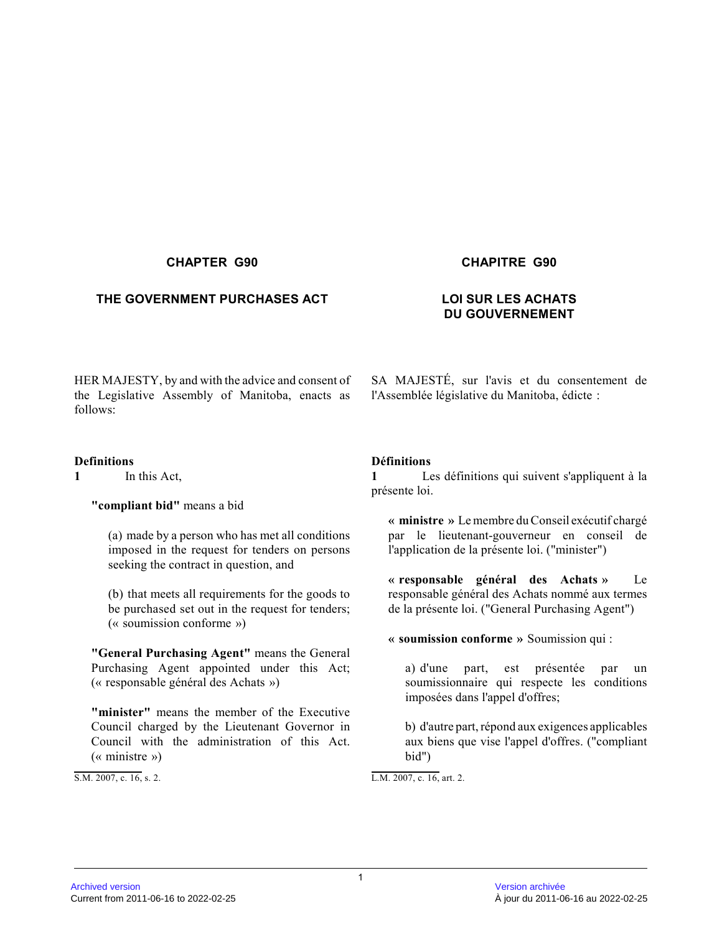# **THE GOVERNMENT PURCHASES ACT LOI SUR LES ACHATS**

### **CHAPTER G90 CHAPITRE G90**

# **DU GOUVERNEMENT**

HER MAJESTY, by and with the advice and consent of the Legislative Assembly of Manitoba, enacts as follows:

### **Definitions**

**1** In this Act,

### **"compliant bid"** means a bid

(a) made by a person who has met all conditions imposed in the request for tenders on persons seeking the contract in question, and

(b) that meets all requirements for the goods to be purchased set out in the request for tenders; (« soumission conforme »)

**"General Purchasing Agent"** means the General Purchasing Agent appointed under this Act; (« responsable général des Achats »)

**"minister"** means the member of the Executive Council charged by the Lieutenant Governor in Council with the administration of this Act. (« ministre »)

S.M. 2007, c. 16, s. 2.

SA MAJESTÉ, sur l'avis et du consentement de l'Assemblée législative du Manitoba, édicte :

# **Définitions**

**1** Les définitions qui suivent s'appliquent à la présente loi.

**« ministre »** Le membre du Conseil exécutif chargé par le lieutenant-gouverneur en conseil de l'application de la présente loi. ("minister")

**« responsable général des Achats »** Le responsable général des Achats nommé aux termes de la présente loi. ("General Purchasing Agent")

**« soumission conforme »** Soumission qui :

a) d'une part, est présentée par un soumissionnaire qui respecte les conditions imposées dans l'appel d'offres;

b) d'autre part, répond aux exigences applicables aux biens que vise l'appel d'offres. ("compliant bid")

L.M. 2007, c. 16, art. 2.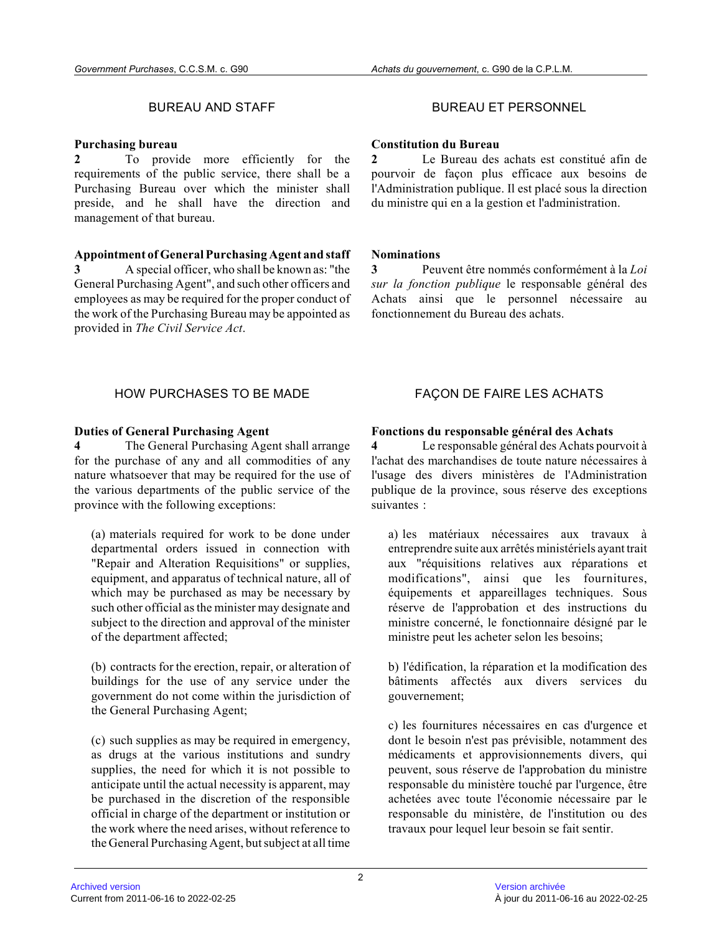### **Purchasing bureau**

**2** To provide more efficiently for the requirements of the public service, there shall be a Purchasing Bureau over which the minister shall preside, and he shall have the direction and management of that bureau.

**Appointment of General Purchasing Agent and staff 3** A special officer, who shall be known as: "the General Purchasing Agent", and such other officers and employees as may be required for the proper conduct of the work of the Purchasing Bureau may be appointed as

# BUREAU AND STAFF **BUREAU ET PERSONNEL**

### **Constitution du Bureau**

**2** Le Bureau des achats est constitué afin de pourvoir de façon plus efficace aux besoins de l'Administration publique. Il est placé sous la direction du ministre qui en a la gestion et l'administration .

### **Nominations**

**3** Peuvent être nommés conformément à la *Loi sur la fonction publique* le responsable général des Achats ainsi que le personnel nécessaire au fonctionnement du Bureau des achats.

# HOW PURCHASES TO BE MADE FAÇON DE FAIRE LES ACHATS

### **Duties of General Purchasing Agent**

provided in *The Civil Service Act* .

**4** The General Purchasing Agent shall arrange for the purchase of any and all commodities of any nature whatsoever that may be required for the use o f the various departments of the public service of the province with the following exceptions:

(a) materials required for work to be done under departmental orders issued in connection with "Repair and Alteration Requisitions" or supplies, equipment, and apparatus of technical nature, all o f which may be purchased as may be necessary by such other official as the minister may designate and subject to the direction and approval of the minister of the department affected;

(b) contracts for the erection, repair, or alteration of buildings for the use of any service under the government do not come within the jurisdiction of the General Purchasing Agent;

(c) such supplies as may be required in emergency, as drugs at the various institutions and sundry supplies, the need for which it is not possible to anticipate until the actual necessity is apparent, may be purchased in the discretion of the responsible official in charge of the department or institution or the work where the need arises, without reference t o the General Purchasing Agent, but subject at all time

### **Fonctions du responsable général des Achats**

**4** Le responsable général des Achats pourvoit à l'achat des marchandises de toute nature nécessaires à l'usage des divers ministères de l'Administration publique de la province, sous réserve des exceptions suivantes :

a) les matériaux nécessaires aux travaux à entreprendre suite aux arrêtés ministériels ayant trait aux "réquisitions relatives aux réparations et modifications", ainsi que les fournitures, équipements et appareillages techniques. Sous réserve de l'approbation et des instructions du ministre concerné, le fonctionnaire désigné par le ministre peut les acheter selon les besoins;

b) l'édification, la réparation et la modification des bâtiments affectés aux divers services du gouvernement;

c) les fournitures nécessaires en cas d'urgence et dont le besoin n'est pas prévisible, notamment des médicaments et approvisionnements divers, qui peuvent, sous réserve de l'approbation du ministre responsable du ministère touché par l'urgence, être achetées avec toute l'économie nécessaire par le responsable du ministère, de l'institution ou des travaux pour lequel leur besoin se fait sentir.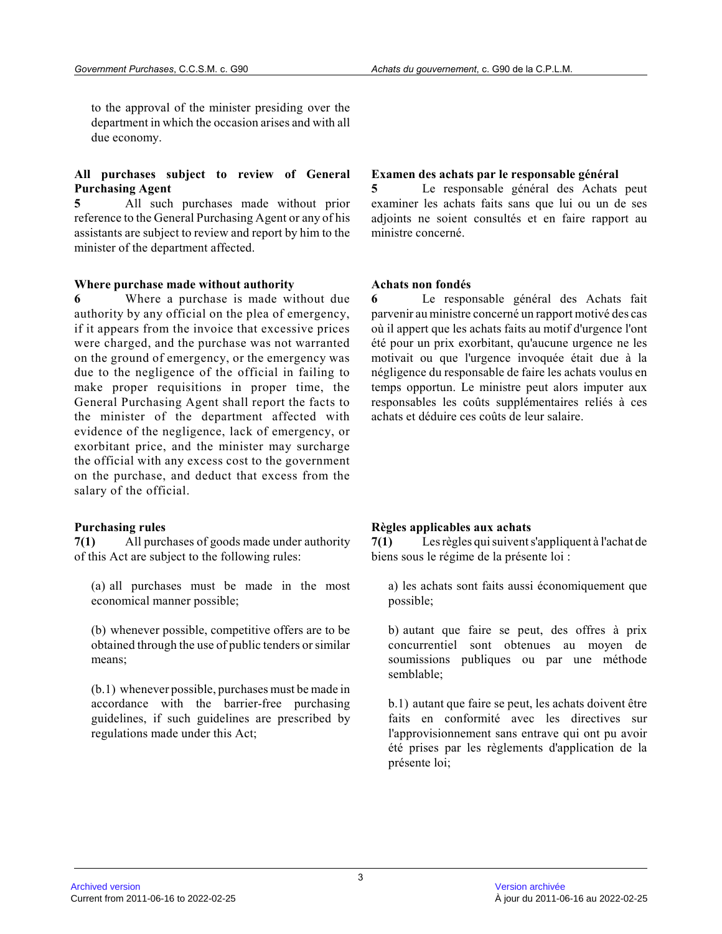to the approval of the minister presiding over the department in which the occasion arises and with al l due economy.

#### **All purchases subject to review of General Purchasing Agent**

**5** All such purchases made without prior reference to the General Purchasing Agent or any of his assistants are subject to review and report by him to the minister of the department affected.

#### **Where purchase made without authority**

**6** Where a purchase is made without due authority by any official on the plea of emergency, if it appears from the invoice that excessive price s were charged, and the purchase was not warranted on the ground of emergency, or the emergency was due to the negligence of the official in failing to make proper requisitions in proper time, the General Purchasing Agent shall report the facts to the minister of the department affected with evidence of the negligence, lack of emergency, or exorbitant price, and the minister may surcharge the official with any excess cost to the government on the purchase, and deduct that excess from the salary of the official.

#### **Purchasing rules**

**7(1)** All purchases of goods made under authority of this Act are subject to the following rules:

(a) all purchases must be made in the most economical manner possible;

(b) whenever possible, competitive offers are to be obtained through the use of public tenders or similar means;

(b.1) whenever possible, purchases must be made in accordance with the barrier-free purchasing guidelines, if such guidelines are prescribed by regulations made under this Act;

#### **Examen des achats par le responsable général**

**5** Le responsable général des Achats peut examiner les achats faits sans que lui ou un de ses adjoints ne soient consultés et en faire rapport au ministre concerné.

#### **Achats non fondés**

Le responsable général des Achats fait parvenir au ministre concerné un rapport motivé des cas où il appert que les achats faits au motif d'urgence l'ont été pour un prix exorbitant, qu'aucune urgence ne les motivait ou que l'urgence invoquée était due à la négligence du responsable de faire les achats voulus en temps opportun. Le ministre peut alors imputer aux responsables les coûts supplémentaires reliés à ces achats et déduire ces coûts de leur salaire.

#### **Règles applicables aux achats**

**7(1)** Les règles qui suivent s'appliquent à l'achat de biens sous le régime de la présente loi :

a) les achats sont faits aussi économiquement que possible;

b) autant que faire se peut, des offres à prix concurrentiel sont obtenues au moyen de soumissions publiques ou par une méthode semblable;

b.1) autant que faire se peut, les achats doivent êtr e faits en conformité avec les directives sur l'approvisionnement sans entrave qui ont pu avoir été prises par les règlements d'application de la présente loi;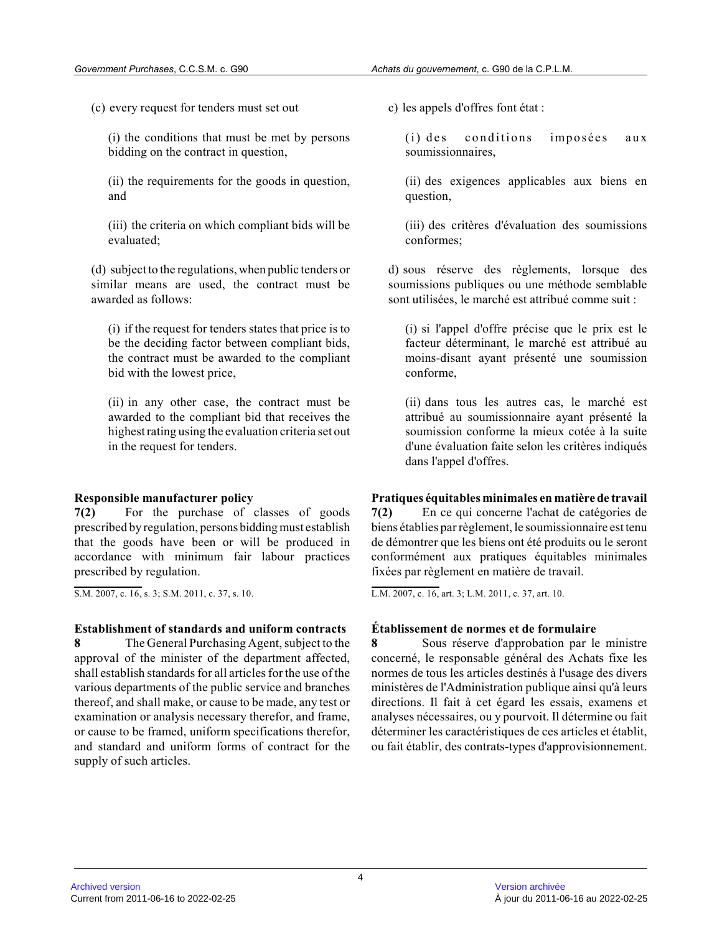(c) every request for tenders must set out

(i) the conditions that must be met by persons bidding on the contract in question,

(ii) the requirements for the goods in question, and

(iii) the criteria on which compliant bids will be evaluated;

(d) subject to the regulations, when public tenders or similar means are used, the contract must be awarded as follows:

(i) if the request for tenders states that price is to be the deciding factor between compliant bids, the contract must be awarded to the compliant bid with the lowest price,

(ii) in any other case, the contract must be awarded to the compliant bid that receives the highest rating using the evaluation criteria set out in the request for tenders.

# **Responsible manufacturer policy**

**7(2)** For the purchase of classes of goods prescribed by regulation, persons bidding must establish that the goods have been or will be produced in accordance with minimum fair labour practices prescribed by regulation.

S.M. 2007, c. 16, s. 3; S.M. 2011, c. 37, s. 10.

# **Establishment of standards and uniform contracts**

**8** The General Purchasing Agent, subject to the approval of the minister of the department affected , shall establish standards for all articles for the use of the various departments of the public service and branche s thereof, and shall make, or cause to be made, any test or examination or analysis necessary therefor, and frame, or cause to be framed, uniform specifications therefor, and standard and uniform forms of contract for the supply of such articles.

c) les appels d'offres font état :

(i) des conditions imposées aux soumissionnaires,

(ii) des exigences applicables aux biens en question,

(iii) des critères d'évaluation des soumissions conformes;

d) sous réserve des règlements, lorsque des soumissions publiques ou une méthode semblable sont utilisées, le marché est attribué comme suit :

(i) si l'appel d'offre précise que le prix est le facteur déterminant, le marché est attribué au moins-disant ayant présenté une soumission conforme,

(ii) dans tous les autres cas, le marché est attribué au soumissionnaire ayant présenté la soumission conforme la mieux cotée à la suite d'une évaluation faite selon les critères indiqués dans l'appel d'offres.

### **Pratiques équitables minimales en matière de travai l**

**7(2)** En ce qui concerne l'achat de catégories de biens établies par règlement, le soumissionnaire est tenu de démontrer que les biens ont été produits ou le seront conformément aux pratiques équitables minimales fixées par règlement en matière de travail.

L.M. 2007, c. 16, art. 3; L.M. 2011, c. 37, art. 10 .

# **Établissement de normes et de formulaire**

**8** Sous réserve d'approbation par le ministre concerné, le responsable général des Achats fixe le s normes de tous les articles destinés à l'usage des divers ministères de l'Administration publique ainsi qu'à leurs directions. Il fait à cet égard les essais, examens et analyses nécessaires, ou y pourvoit. Il détermine ou fait déterminer les caractéristiques de ces articles et établit, ou fait établir, des contrats-types d'approvisionnement.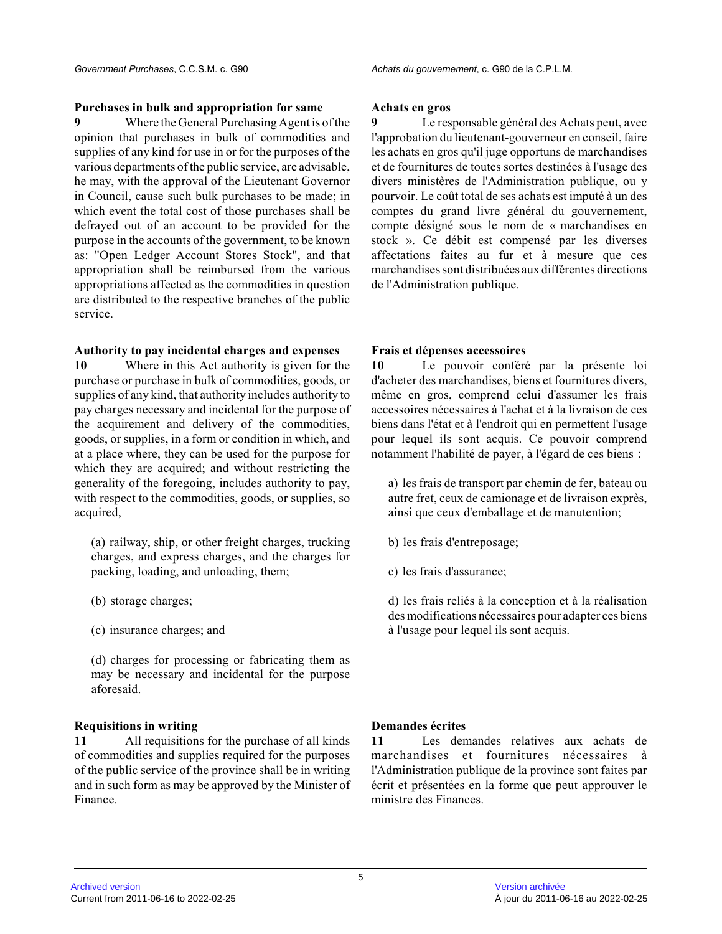### **Purchases in bulk and appropriation for same**

**9** Where the General Purchasing Agent is of the opinion that purchases in bulk of commodities and supplies of any kind for use in or for the purposes of the various departments of the public service, are advisable, he may, with the approval of the Lieutenant Governor in Council, cause such bulk purchases to be made; i n which event the total cost of those purchases shall be defrayed out of an account to be provided for the purpose in the accounts of the government, to be known as: "Open Ledger Account Stores Stock", and that appropriation shall be reimbursed from the various appropriations affected as the commodities in question are distributed to the respective branches of the publi c service.

### **Authority to pay incidental charges and expenses**

**10** Where in this Act authority is given for the purchase or purchase in bulk of commodities, goods, or supplies of any kind, that authority includes authority to pay charges necessary and incidental for the purpose of the acquirement and delivery of the commodities, goods, or supplies, in a form or condition in which, and at a place where, they can be used for the purpose for which they are acquired; and without restricting th e generality of the foregoing, includes authority to pay, with respect to the commodities, goods, or supplies, so acquired,

(a) railway, ship, or other freight charges, truckin g charges, and express charges, and the charges for packing, loading, and unloading, them;

- (b) storage charges;
- (c) insurance charges; and

(d) charges for processing or fabricating them as may be necessary and incidental for the purpose aforesaid.

# **Requisitions in writing**

**11** All requisitions for the purchase of all kinds of commodities and supplies required for the purposes of the public service of the province shall be in writing and in such form as may be approved by the Minister of Finance.

#### **Achats en gros**

Le responsable général des Achats peut, avec l'approbation du lieutenant-gouverneur en conseil, faire les achats en gros qu'il juge opportuns de marchandises et de fournitures de toutes sortes destinées à l'usage des divers ministères de l'Administration publique, ou y pourvoir. Le coût total de ses achats est imputé à un des comptes du grand livre général du gouvernement, compte désigné sous le nom de « marchandises en stock ». Ce débit est compensé par les diverses affectations faites au fur et à mesure que ces marchandises sont distribuées aux différentes direction s de l'Administration publique.

# **Frais et dépenses accessoires**

**10** Le pouvoir conféré par la présente loi d'acheter des marchandises, biens et fournitures divers, même en gros, comprend celui d'assumer les frais accessoires nécessaires à l'achat et à la livraison de ces biens dans l'état et à l'endroit qui en permettent l'usage pour lequel ils sont acquis. Ce pouvoir comprend notamment l'habilité de payer, à l'égard de ces biens :

a) les frais de transport par chemin de fer, bateau ou autre fret, ceux de camionage et de livraison exprès , ainsi que ceux d'emballage et de manutention;

- b) les frais d'entreposage;
- c) les frais d'assurance;

d) les frais reliés à la conception et à la réalisation des modifications nécessaires pour adapter ces biens à l'usage pour lequel ils sont acquis.

# **Demandes écrites**

**11** Les demandes relatives aux achats de marchandises et fournitures nécessaires à l'Administration publique de la province sont faites par écrit et présentées en la forme que peut approuver l e ministre des Finances.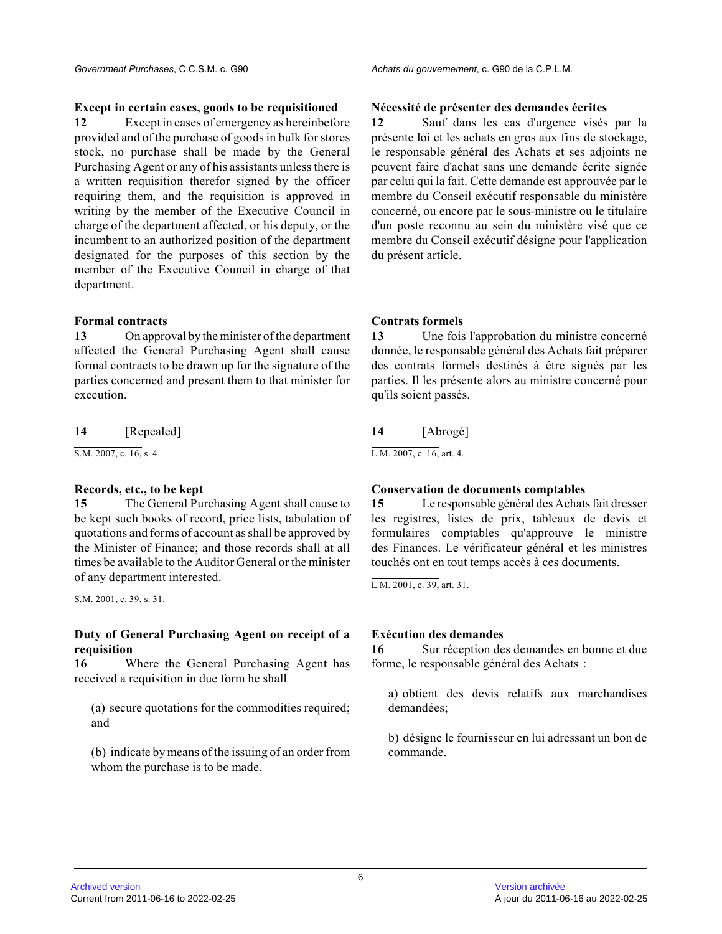### **Except in certain cases, goods to be requisitioned**

**12** Except in cases of emergency as hereinbefore provided and of the purchase of goods in bulk for stores stock, no purchase shall be made by the General Purchasing Agent or any of his assistants unless there is a written requisition therefor signed by the officer requiring them, and the requisition is approved in writing by the member of the Executive Council in charge of the department affected, or his deputy, or the incumbent to an authorized position of the departmen t designated for the purposes of this section by the member of the Executive Council in charge of that department.

# **Formal contracts**

**13** On approval by the minister of the department affected the General Purchasing Agent shall cause formal contracts to be drawn up for the signature of the parties concerned and present them to that minister for execution.

**14** [Repealed]

S.M. 2007, c. 16, s. 4.

# **Records, etc., to be kept**

**15** The General Purchasing Agent shall cause to be kept such books of record, price lists, tabulation of quotations and forms of account as shall be approved by the Minister of Finance; and those records shall at all times be available to the Auditor General or the minister of any department interested.

S.M. 2001, c. 39, s. 31.

# **Duty of General Purchasing Agent on receipt of a requisition**

**16** Where the General Purchasing Agent has received a requisition in due form he shall

(a) secure quotations for the commodities required; and

(b) indicate by means of the issuing of an order fro m whom the purchase is to be made.

# **Nécessité de présenter des demandes écrites**

**12** Sauf dans les cas d'urgence visés par la présente loi et les achats en gros aux fins de stockage, le responsable général des Achats et ses adjoints n e peuvent faire d'achat sans une demande écrite signée par celui qui la fait. Cette demande est approuvée par le membre du Conseil exécutif responsable du ministère concerné, ou encore par le sous-ministre ou le titulaire d'un poste reconnu au sein du ministère visé que ce membre du Conseil exécutif désigne pour l'application du présent article.

# **Contrats formels**

**13** Une fois l'approbation du ministre concerné donnée, le responsable général des Achats fait préparer des contrats formels destinés à être signés par les parties. Il les présente alors au ministre concerné pour qu'ils soient passés.

# **14** [Abrogé]

L.M. 2007, c. 16, art. 4.

# **Conservation de documents comptables**

**15** Le responsable général des Achats fait dresser les registres, listes de prix, tableaux de devis et formulaires comptables qu'approuve le ministre des Finances. Le vérificateur général et les ministres touchés ont en tout temps accès à ces documents.

L.M. 2001, c. 39, art. 31.

# **Exécution des demandes**

**16** Sur réception des demandes en bonne et due forme, le responsable général des Achats :

a) obtient des devis relatifs aux marchandises demandées;

b) désigne le fournisseur en lui adressant un bon de commande.